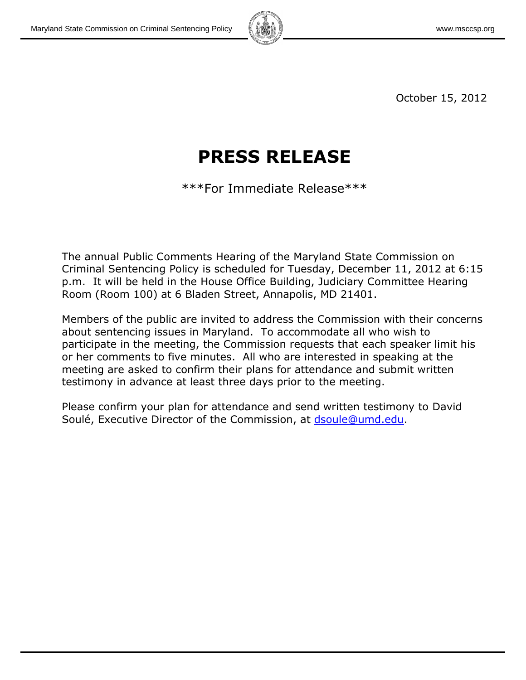

October 15, 2012

# **PRESS RELEASE**

\*\*\*For Immediate Release\*\*\*

The annual Public Comments Hearing of the Maryland State Commission on Criminal Sentencing Policy is scheduled for Tuesday, December 11, 2012 at 6:15 p.m. It will be held in the House Office Building, Judiciary Committee Hearing Room (Room 100) at 6 Bladen Street, Annapolis, MD 21401.

Members of the public are invited to address the Commission with their concerns about sentencing issues in Maryland. To accommodate all who wish to participate in the meeting, the Commission requests that each speaker limit his or her comments to five minutes. All who are interested in speaking at the meeting are asked to confirm their plans for attendance and submit written testimony in advance at least three days prior to the meeting.

Please confirm your plan for attendance and send written testimony to David Soulé, Executive Director of the Commission, at [dsoule@umd.edu.](mailto:dsoule@umd.edu)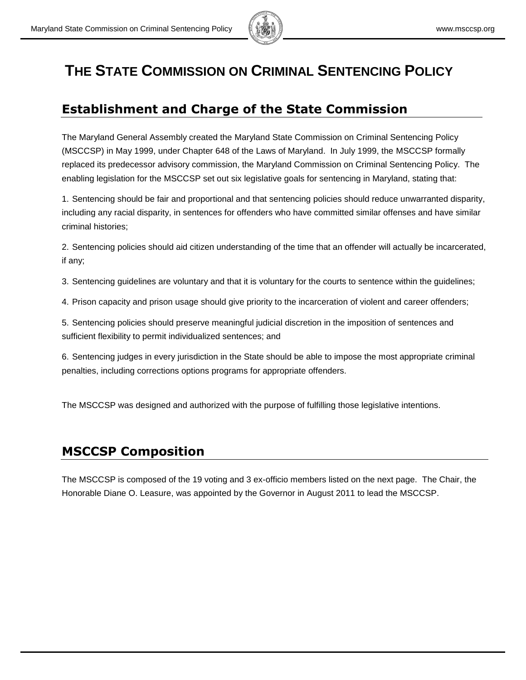

## **THE STATE COMMISSION ON CRIMINAL SENTENCING POLICY**

### **Establishment and Charge of the State Commission**

The Maryland General Assembly created the Maryland State Commission on Criminal Sentencing Policy (MSCCSP) in May 1999, under Chapter 648 of the Laws of Maryland. In July 1999, the MSCCSP formally replaced its predecessor advisory commission, the Maryland Commission on Criminal Sentencing Policy. The enabling legislation for the MSCCSP set out six legislative goals for sentencing in Maryland, stating that:

1. Sentencing should be fair and proportional and that sentencing policies should reduce unwarranted disparity, including any racial disparity, in sentences for offenders who have committed similar offenses and have similar criminal histories;

2. Sentencing policies should aid citizen understanding of the time that an offender will actually be incarcerated, if any;

3. Sentencing guidelines are voluntary and that it is voluntary for the courts to sentence within the guidelines;

4. Prison capacity and prison usage should give priority to the incarceration of violent and career offenders;

5. Sentencing policies should preserve meaningful judicial discretion in the imposition of sentences and sufficient flexibility to permit individualized sentences; and

6. Sentencing judges in every jurisdiction in the State should be able to impose the most appropriate criminal penalties, including corrections options programs for appropriate offenders.

The MSCCSP was designed and authorized with the purpose of fulfilling those legislative intentions.

## **MSCCSP Composition**

The MSCCSP is composed of the 19 voting and 3 ex-officio members listed on the next page. The Chair, the Honorable Diane O. Leasure, was appointed by the Governor in August 2011 to lead the MSCCSP.